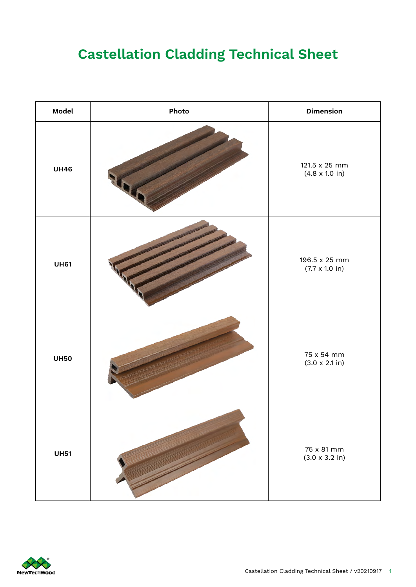## **Castellation Cladding Technical Sheet**

| Model       | Photo | <b>Dimension</b>                               |  |
|-------------|-------|------------------------------------------------|--|
| <b>UH46</b> |       | 121.5 x 25 mm<br>$(4.8 \times 1.0 \text{ in})$ |  |
| <b>UH61</b> |       | 196.5 x 25 mm<br>$(7.7 \times 1.0 \text{ in})$ |  |
| <b>UH50</b> |       | 75 x 54 mm<br>$(3.0 \times 2.1 \text{ in})$    |  |
| <b>UH51</b> |       | 75 x 81 mm<br>$(3.0 \times 3.2 \text{ in})$    |  |

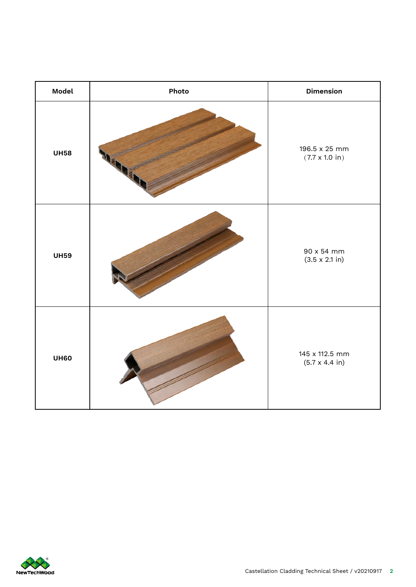| Model       | Photo | <b>Dimension</b>                                |
|-------------|-------|-------------------------------------------------|
| <b>UH58</b> |       | 196.5 x 25 mm<br>$(7.7 \times 1.0 \text{ in})$  |
| <b>UH59</b> |       | 90 x 54 mm<br>$(3.5 \times 2.1 \text{ in})$     |
| <b>UH60</b> |       | 145 x 112.5 mm<br>$(5.7 \times 4.4 \text{ in})$ |

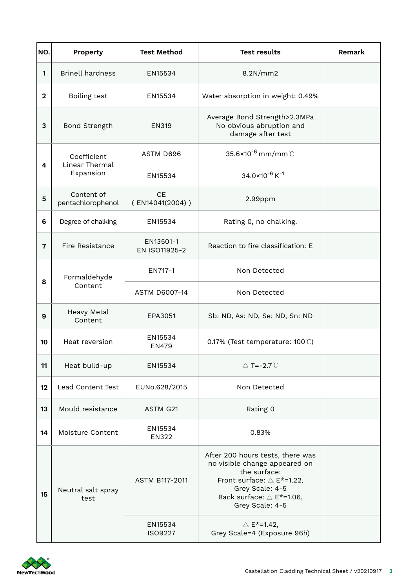| NO.            | Property                                   | <b>Test Method</b>           | <b>Test results</b>                                                                                                                                                                        | Remark |
|----------------|--------------------------------------------|------------------------------|--------------------------------------------------------------------------------------------------------------------------------------------------------------------------------------------|--------|
| 1              | <b>Brinell hardness</b>                    | EN15534                      | 8.2N/mm2                                                                                                                                                                                   |        |
| $\mathbf{2}$   | Boiling test                               | EN15534                      | Water absorption in weight: 0.49%                                                                                                                                                          |        |
| 3              | Bond Strength                              | <b>EN319</b>                 | Average Bond Strength>2.3MPa<br>No obvious abruption and<br>damage after test                                                                                                              |        |
| 4              | Coefficient<br>Linear Thermal<br>Expansion | ASTM D696                    | 35.6×10 <sup>-6</sup> mm/mm C                                                                                                                                                              |        |
|                |                                            | EN15534                      | $34.0\times10^{-6}$ K <sup>-1</sup>                                                                                                                                                        |        |
| 5              | Content of<br>pentachlorophenol            | <b>CE</b><br>(EN14041(2004)) | 2.99ppm                                                                                                                                                                                    |        |
| 6              | Degree of chalking                         | EN15534                      | Rating 0, no chalking.                                                                                                                                                                     |        |
| $\overline{7}$ | Fire Resistance                            | EN13501-1<br>EN ISO11925-2   | Reaction to fire classification: E                                                                                                                                                         |        |
| 8              | Formaldehyde<br>Content                    | EN717-1                      | Non Detected                                                                                                                                                                               |        |
|                |                                            | <b>ASTM D6007-14</b>         | Non Detected                                                                                                                                                                               |        |
| 9              | Heavy Metal<br>Content                     | EPA3051                      | Sb: ND, As: ND, Se: ND, Sn: ND                                                                                                                                                             |        |
| 10             | Heat reversion                             | EN15534<br><b>EN479</b>      | 0.17% (Test temperature: 100°C)                                                                                                                                                            |        |
| 11             | Heat build-up                              | EN15534                      | $\triangle$ T=-2.7 $\degree$ C                                                                                                                                                             |        |
| 12             | Lead Content Test                          | EUNo.628/2015                | Non Detected                                                                                                                                                                               |        |
| 13             | Mould resistance                           | ASTM G21                     | Rating 0                                                                                                                                                                                   |        |
| 14             | Moisture Content                           | EN15534<br>EN322             | 0.83%                                                                                                                                                                                      |        |
| 15             | Neutral salt spray<br>test                 | <b>ASTM B117-2011</b>        | After 200 hours tests, there was<br>no visible change appeared on<br>the surface:<br>Front surface: $\triangle$ E*=1.22,<br>Grey Scale: 4-5<br>Back surface: △ E*=1.06,<br>Grey Scale: 4-5 |        |
|                |                                            | EN15534<br>ISO9227           | $\triangle$ E <sup>*</sup> =1.42,<br>Grey Scale=4 (Exposure 96h)                                                                                                                           |        |